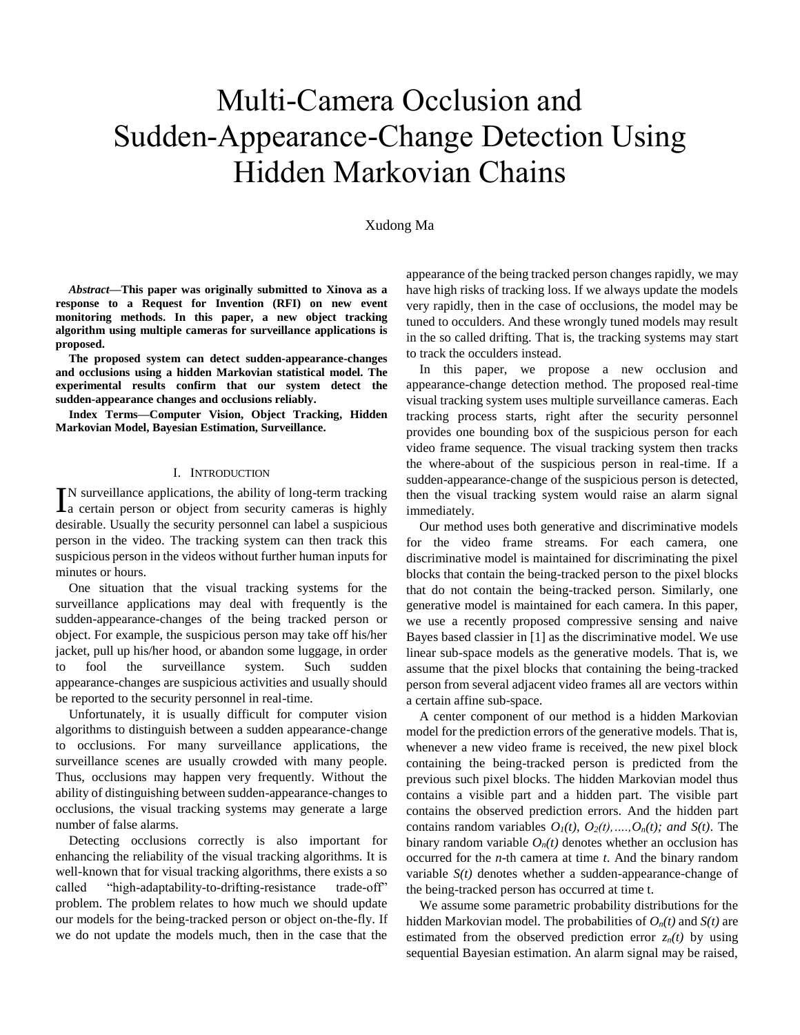# Multi-Camera Occlusion and Sudden-Appearance-Change Detection Using Hidden Markovian Chains

## Xudong Ma

*Abstract***—This paper was originally submitted to Xinova as a response to a Request for Invention (RFI) on new event monitoring methods. In this paper, a new object tracking algorithm using multiple cameras for surveillance applications is proposed.** 

**The proposed system can detect sudden-appearance-changes and occlusions using a hidden Markovian statistical model. The experimental results confirm that our system detect the sudden-appearance changes and occlusions reliably.**

**Index Terms—Computer Vision, Object Tracking, Hidden Markovian Model, Bayesian Estimation, Surveillance.**

#### I. INTRODUCTION

N surveillance applications, the ability of long-term tracking IN surveillance applications, the ability of long-term tracking<br>La certain person or object from security cameras is highly desirable. Usually the security personnel can label a suspicious person in the video. The tracking system can then track this suspicious person in the videos without further human inputs for minutes or hours.

One situation that the visual tracking systems for the surveillance applications may deal with frequently is the sudden-appearance-changes of the being tracked person or object. For example, the suspicious person may take off his/her jacket, pull up his/her hood, or abandon some luggage, in order to fool the surveillance system. Such sudden appearance-changes are suspicious activities and usually should be reported to the security personnel in real-time.

Unfortunately, it is usually difficult for computer vision algorithms to distinguish between a sudden appearance-change to occlusions. For many surveillance applications, the surveillance scenes are usually crowded with many people. Thus, occlusions may happen very frequently. Without the ability of distinguishing between sudden-appearance-changes to occlusions, the visual tracking systems may generate a large number of false alarms.

Detecting occlusions correctly is also important for enhancing the reliability of the visual tracking algorithms. It is well-known that for visual tracking algorithms, there exists a so called "high-adaptability-to-drifting-resistance trade-off" problem. The problem relates to how much we should update our models for the being-tracked person or object on-the-fly. If we do not update the models much, then in the case that the

appearance of the being tracked person changes rapidly, we may have high risks of tracking loss. If we always update the models very rapidly, then in the case of occlusions, the model may be tuned to occulders. And these wrongly tuned models may result in the so called drifting. That is, the tracking systems may start to track the occulders instead.

In this paper, we propose a new occlusion and appearance-change detection method. The proposed real-time visual tracking system uses multiple surveillance cameras. Each tracking process starts, right after the security personnel provides one bounding box of the suspicious person for each video frame sequence. The visual tracking system then tracks the where-about of the suspicious person in real-time. If a sudden-appearance-change of the suspicious person is detected, then the visual tracking system would raise an alarm signal immediately.

Our method uses both generative and discriminative models for the video frame streams. For each camera, one discriminative model is maintained for discriminating the pixel blocks that contain the being-tracked person to the pixel blocks that do not contain the being-tracked person. Similarly, one generative model is maintained for each camera. In this paper, we use a recently proposed compressive sensing and naive Bayes based classier in [1] as the discriminative model. We use linear sub-space models as the generative models. That is, we assume that the pixel blocks that containing the being-tracked person from several adjacent video frames all are vectors within a certain affine sub-space.

A center component of our method is a hidden Markovian model for the prediction errors of the generative models. That is, whenever a new video frame is received, the new pixel block containing the being-tracked person is predicted from the previous such pixel blocks. The hidden Markovian model thus contains a visible part and a hidden part. The visible part contains the observed prediction errors. And the hidden part contains random variables  $O_I(t)$ ,  $O_2(t)$ , ...,  $O_n(t)$ ; and  $S(t)$ . The binary random variable  $O_n(t)$  denotes whether an occlusion has occurred for the *n*-th camera at time *t*. And the binary random variable *S(t)* denotes whether a sudden-appearance-change of the being-tracked person has occurred at time t.

We assume some parametric probability distributions for the hidden Markovian model. The probabilities of  $O_n(t)$  and  $S(t)$  are estimated from the observed prediction error  $z_n(t)$  by using sequential Bayesian estimation. An alarm signal may be raised,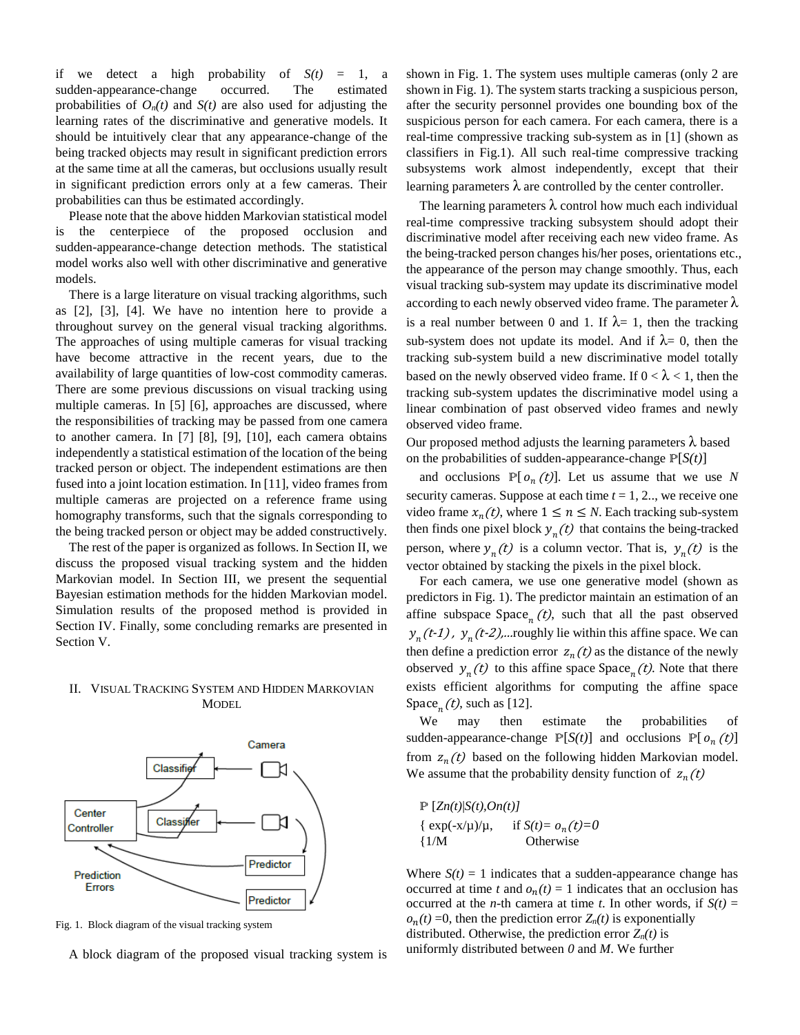if we detect a high probability of  $S(t) = 1$ , a sudden-appearance-change occurred. The estimated probabilities of  $O_n(t)$  and  $S(t)$  are also used for adjusting the learning rates of the discriminative and generative models. It should be intuitively clear that any appearance-change of the being tracked objects may result in significant prediction errors at the same time at all the cameras, but occlusions usually result in significant prediction errors only at a few cameras. Their probabilities can thus be estimated accordingly.

Please note that the above hidden Markovian statistical model is the centerpiece of the proposed occlusion and sudden-appearance-change detection methods. The statistical model works also well with other discriminative and generative models.

There is a large literature on visual tracking algorithms, such as [2], [3], [4]. We have no intention here to provide a throughout survey on the general visual tracking algorithms. The approaches of using multiple cameras for visual tracking have become attractive in the recent years, due to the availability of large quantities of low-cost commodity cameras. There are some previous discussions on visual tracking using multiple cameras. In [5] [6], approaches are discussed, where the responsibilities of tracking may be passed from one camera to another camera. In [7] [8], [9], [10], each camera obtains independently a statistical estimation of the location of the being tracked person or object. The independent estimations are then fused into a joint location estimation. In [11], video frames from multiple cameras are projected on a reference frame using homography transforms, such that the signals corresponding to the being tracked person or object may be added constructively.

The rest of the paper is organized as follows. In Section II, we discuss the proposed visual tracking system and the hidden Markovian model. In Section III, we present the sequential Bayesian estimation methods for the hidden Markovian model. Simulation results of the proposed method is provided in Section IV. Finally, some concluding remarks are presented in Section V.

### II. VISUAL TRACKING SYSTEM AND HIDDEN MARKOVIAN **MODEL**



Fig. 1. Block diagram of the visual tracking system

A block diagram of the proposed visual tracking system is

shown in Fig. 1. The system uses multiple cameras (only 2 are shown in Fig. 1). The system starts tracking a suspicious person, after the security personnel provides one bounding box of the suspicious person for each camera. For each camera, there is a real-time compressive tracking sub-system as in [1] (shown as classifiers in Fig.1). All such real-time compressive tracking subsystems work almost independently, except that their learning parameters  $\lambda$  are controlled by the center controller.

The learning parameters  $\lambda$  control how much each individual real-time compressive tracking subsystem should adopt their discriminative model after receiving each new video frame. As the being-tracked person changes his/her poses, orientations etc., the appearance of the person may change smoothly. Thus, each visual tracking sub-system may update its discriminative model according to each newly observed video frame. The parameter  $\lambda$ is a real number between 0 and 1. If  $\lambda = 1$ , then the tracking sub-system does not update its model. And if  $\lambda = 0$ , then the tracking sub-system build a new discriminative model totally based on the newly observed video frame. If  $0 < \lambda < 1$ , then the tracking sub-system updates the discriminative model using a linear combination of past observed video frames and newly observed video frame.

Our proposed method adjusts the learning parameters  $λ$  based on the probabilities of sudden-appearance-change P[*S(t)*]

and occlusions  $P[ o_n(t)]$ . Let us assume that we use *N* security cameras. Suppose at each time *t* = 1, 2.., we receive one video frame  $x_n(t)$ , where  $1 \le n \le N$ . Each tracking sub-system then finds one pixel block  $y_n(t)$  that contains the being-tracked person, where  $y_n(t)$  is a column vector. That is,  $y_n(t)$  is the vector obtained by stacking the pixels in the pixel block.

For each camera, we use one generative model (shown as predictors in Fig. 1). The predictor maintain an estimation of an affine subspace  $space_{n}(t)$ , such that all the past observed  $y_n(t-1)$ ,  $y_n(t-2)$ ,...roughly lie within this affine space. We can then define a prediction error  $z_n(t)$  as the distance of the newly observed  $y_n(t)$  to this affine space Space<sub>n</sub>(*t*). Note that there exists efficient algorithms for computing the affine space Space<sub>n</sub> $(t)$ , such as [12].

We may then estimate the probabilities of sudden-appearance-change  $\mathbb{P}[S(t)]$  and occlusions  $\mathbb{P}[o_n(t)]$ from  $z_n(t)$  based on the following hidden Markovian model. We assume that the probability density function of  $z_n(t)$ 

 $\mathbb{P}\left[Z_n(t)|S(t),On(t)\right]$  $\{ \exp(-x/\mu)/\mu, \}$ if  $S(t) = o_n(t) = 0$ {1/M Otherwise

Where  $S(t) = 1$  indicates that a sudden-appearance change has occurred at time *t* and  $o_n(t) = 1$  indicates that an occlusion has occurred at the *n*-th camera at time *t*. In other words, if  $S(t)$  =  $o_n(t) = 0$ , then the prediction error  $Z_n(t)$  is exponentially distributed. Otherwise, the prediction error  $Z_n(t)$  is uniformly distributed between *0* and *M*. We further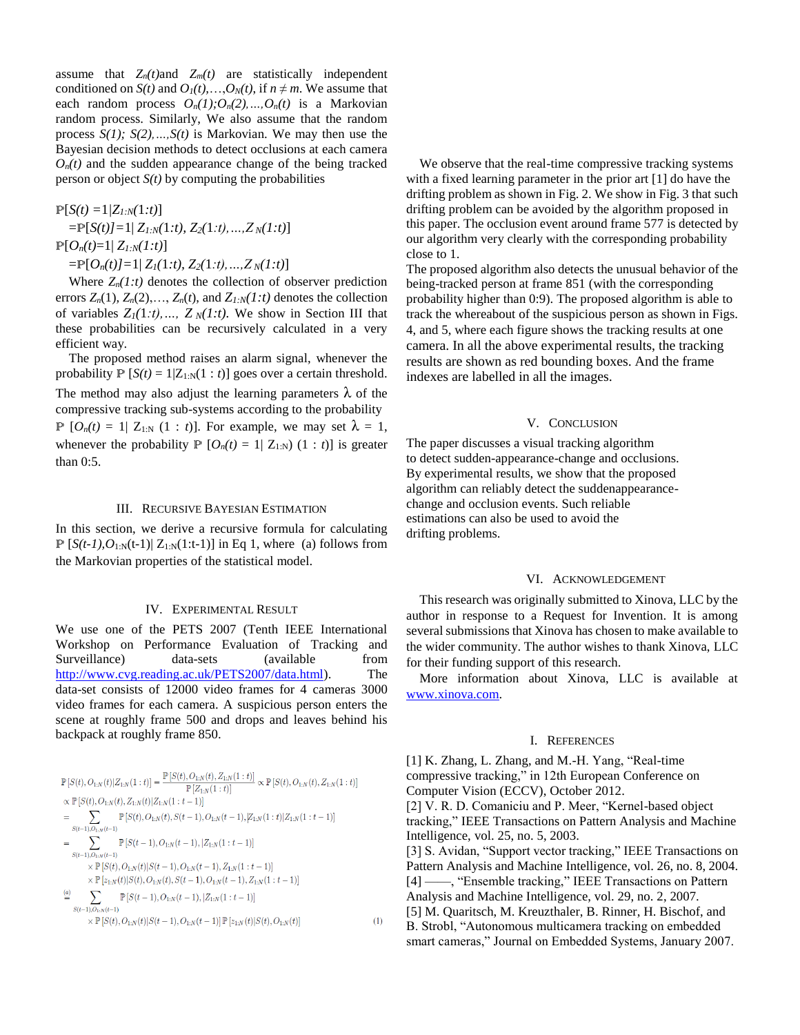assume that  $Z_n(t)$  and  $Z_m(t)$  are statistically independent conditioned on *S(t)* and  $O_1(t),...,O_N(t)$ , if  $n \neq m$ . We assume that each random process  $O_n(1); O_n(2), ..., O_n(t)$  is a Markovian random process. Similarly, We also assume that the random process *S(1); S(2),…,S(t)* is Markovian. We may then use the Bayesian decision methods to detect occlusions at each camera  $O_n(t)$  and the sudden appearance change of the being tracked person or object  $S(t)$  by computing the probabilities

$$
\mathbb{P}[S(t) = 1/Z_{I:N}(1:t)]
$$
  
=  $\mathbb{P}[S(t) = 1 | Z_{I:N}(1:t), Z_2(1:t), ..., Z_N(1:t)]$   
 $\mathbb{P}[O_n(t)=1 | Z_{I:N}(1:t)]$   
=  $\mathbb{P}[O_n(t) = 1 | Z_I(1:t), Z_2(1:t), ..., Z_N(1:t)]$ 

Where  $Z_n(1:t)$  denotes the collection of observer prediction errors  $Z_n(1)$ ,  $Z_n(2)$ ,...,  $Z_n(t)$ , and  $Z_{1:N}(1:t)$  denotes the collection of variables  $Z_I(1:t),..., Z_N(1:t)$ . We show in Section III that these probabilities can be recursively calculated in a very efficient way.

The proposed method raises an alarm signal, whenever the probability  $P [S(t) = 1 | Z_{1:N}(1 : t)]$  goes over a certain threshold. The method may also adjust the learning parameters  $\lambda$  of the compressive tracking sub-systems according to the probability  $\mathbb{P}$   $[O_n(t) = 1 | Z_{1:N} (1 : t)]$ . For example, we may set  $\lambda = 1$ , whenever the probability  $P [O_n(t) = 1 | Z_{1:N}) (1 : t)]$  is greater than 0:5.

#### III. RECURSIVE BAYESIAN ESTIMATION

In this section, we derive a recursive formula for calculating  $\mathbb{P} \left[ S(t-1), O_{1:N}(t-1) \right] Z_{1:N}(1:t-1)$ ] in Eq 1, where (a) follows from the Markovian properties of the statistical model.

#### IV. EXPERIMENTAL RESULT

We use one of the PETS 2007 (Tenth IEEE International Workshop on Performance Evaluation of Tracking and Surveillance) data-sets (available from [http://www.cvg.reading.ac.uk/PETS2007/data.html\)](http://www.cvg.reading.ac.uk/PETS2007/data.html). The data-set consists of 12000 video frames for 4 cameras 3000 video frames for each camera. A suspicious person enters the scene at roughly frame 500 and drops and leaves behind his backpack at roughly frame 850.

$$
\mathbb{P}\left[S(t), O_{1:N}(t)|Z_{1:N}(1:t)\right] = \frac{\mathbb{P}\left[S(t), O_{1:N}(t), Z_{1:N}(1:t)\right]}{\mathbb{P}\left[Z_{1:N}(1:t)\right]} \propto \mathbb{P}\left[S(t), O_{1:N}(t), Z_{1:N}(t) | Z_{1:N}(1:t-1)\right]
$$
\n
$$
\propto \mathbb{P}\left[S(t), O_{1:N}(t), Z_{1:N}(t)|Z_{1:N}(1:t-1)\right]
$$
\n
$$
= \sum_{S(t-1), O_{1:N}(t-1)} \mathbb{P}\left[S(t), O_{1:N}(t), S(t-1), O_{1:N}(t-1), |Z_{1:N}(1:t)| | Z_{1:N}(1:t-1)\right]
$$
\n
$$
= \sum_{S(t-1), O_{1:N}(t-1)} \mathbb{P}\left[S(t-1), O_{1:N}(t-1), |Z_{1:N}(1:t-1)\right]
$$
\n
$$
\times \mathbb{P}\left[S(t), O_{1:N}(t)| S(t-1), O_{1:N}(t-1), Z_{1:N}(1:t-1)\right]
$$
\n
$$
\cong \sum_{S(t-1), O_{1:N}(t-1)} \mathbb{P}\left[S(t-1), O_{1:N}(t-1), |Z_{1:N}(1:t-1)\right]
$$
\n
$$
\times \mathbb{P}\left[S(t), O_{1:N}(t)| S(t-1), O_{1:N}(t-1)\right] \mathbb{P}\left[z_{1:N}(t)| S(t), O_{1:N}(t)\right]
$$

 $(1)$ 

We observe that the real-time compressive tracking systems with a fixed learning parameter in the prior art [1] do have the drifting problem as shown in Fig. 2. We show in Fig. 3 that such drifting problem can be avoided by the algorithm proposed in this paper. The occlusion event around frame 577 is detected by our algorithm very clearly with the corresponding probability close to 1.

The proposed algorithm also detects the unusual behavior of the being-tracked person at frame 851 (with the corresponding probability higher than 0:9). The proposed algorithm is able to track the whereabout of the suspicious person as shown in Figs. 4, and 5, where each figure shows the tracking results at one camera. In all the above experimental results, the tracking results are shown as red bounding boxes. And the frame indexes are labelled in all the images.

#### V. CONCLUSION

The paper discusses a visual tracking algorithm to detect sudden-appearance-change and occlusions. By experimental results, we show that the proposed algorithm can reliably detect the suddenappearancechange and occlusion events. Such reliable estimations can also be used to avoid the drifting problems.

#### VI. ACKNOWLEDGEMENT

This research was originally submitted to Xinova, LLC by the author in response to a Request for Invention. It is among several submissions that Xinova has chosen to make available to the wider community. The author wishes to thank Xinova, LLC for their funding support of this research.

More information about Xinova, LLC is available at [www.xinova.com.](http://www.xinova.com/)

#### I. REFERENCES

[1] K. Zhang, L. Zhang, and M.-H. Yang, "Real-time compressive tracking," in 12th European Conference on Computer Vision (ECCV), October 2012. [2] V. R. D. Comaniciu and P. Meer, "Kernel-based object tracking," IEEE Transactions on Pattern Analysis and Machine Intelligence, vol. 25, no. 5, 2003.

[3] S. Avidan, "Support vector tracking," IEEE Transactions on Pattern Analysis and Machine Intelligence, vol. 26, no. 8, 2004. [4] ——, "Ensemble tracking," IEEE Transactions on Pattern Analysis and Machine Intelligence, vol. 29, no. 2, 2007. [5] M. Quaritsch, M. Kreuzthaler, B. Rinner, H. Bischof, and B. Strobl, "Autonomous multicamera tracking on embedded smart cameras," Journal on Embedded Systems, January 2007.